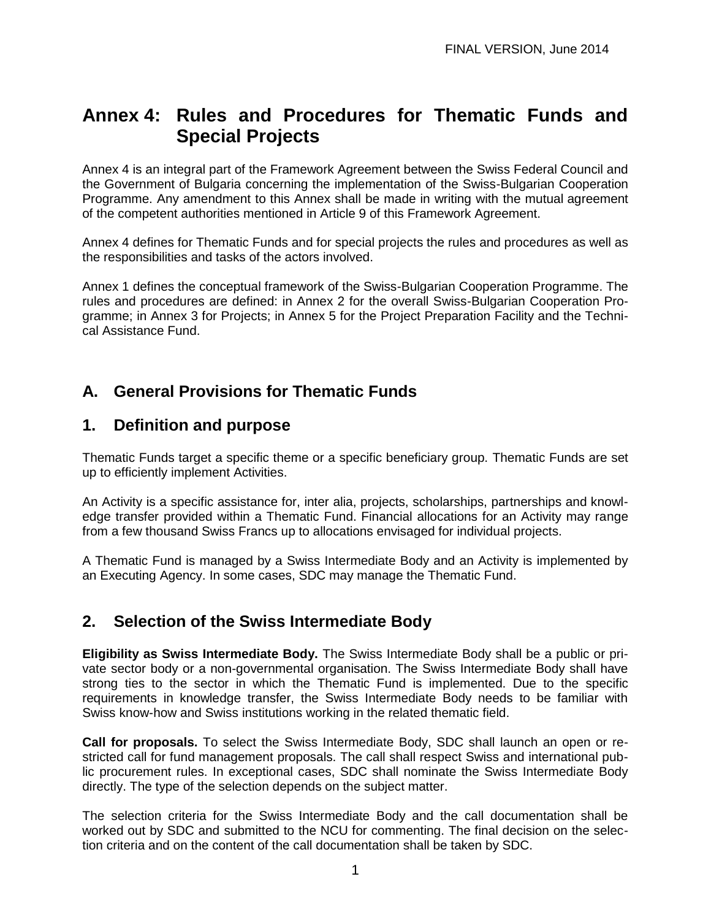# **Annex 4: Rules and Procedures for Thematic Funds and Special Projects**

Annex 4 is an integral part of the Framework Agreement between the Swiss Federal Council and the Government of Bulgaria concerning the implementation of the Swiss-Bulgarian Cooperation Programme. Any amendment to this Annex shall be made in writing with the mutual agreement of the competent authorities mentioned in Article 9 of this Framework Agreement.

Annex 4 defines for Thematic Funds and for special projects the rules and procedures as well as the responsibilities and tasks of the actors involved.

Annex 1 defines the conceptual framework of the Swiss-Bulgarian Cooperation Programme. The rules and procedures are defined: in Annex 2 for the overall Swiss-Bulgarian Cooperation Programme; in Annex 3 for Projects; in Annex 5 for the Project Preparation Facility and the Technical Assistance Fund.

## **A. General Provisions for Thematic Funds**

#### **1. Definition and purpose**

Thematic Funds target a specific theme or a specific beneficiary group. Thematic Funds are set up to efficiently implement Activities.

An Activity is a specific assistance for, inter alia, projects, scholarships, partnerships and knowledge transfer provided within a Thematic Fund. Financial allocations for an Activity may range from a few thousand Swiss Francs up to allocations envisaged for individual projects.

A Thematic Fund is managed by a Swiss Intermediate Body and an Activity is implemented by an Executing Agency. In some cases, SDC may manage the Thematic Fund.

### **2. Selection of the Swiss Intermediate Body**

**Eligibility as Swiss Intermediate Body.** The Swiss Intermediate Body shall be a public or private sector body or a non-governmental organisation. The Swiss Intermediate Body shall have strong ties to the sector in which the Thematic Fund is implemented. Due to the specific requirements in knowledge transfer, the Swiss Intermediate Body needs to be familiar with Swiss know-how and Swiss institutions working in the related thematic field.

**Call for proposals.** To select the Swiss Intermediate Body, SDC shall launch an open or restricted call for fund management proposals. The call shall respect Swiss and international public procurement rules. In exceptional cases, SDC shall nominate the Swiss Intermediate Body directly. The type of the selection depends on the subject matter.

The selection criteria for the Swiss Intermediate Body and the call documentation shall be worked out by SDC and submitted to the NCU for commenting. The final decision on the selection criteria and on the content of the call documentation shall be taken by SDC.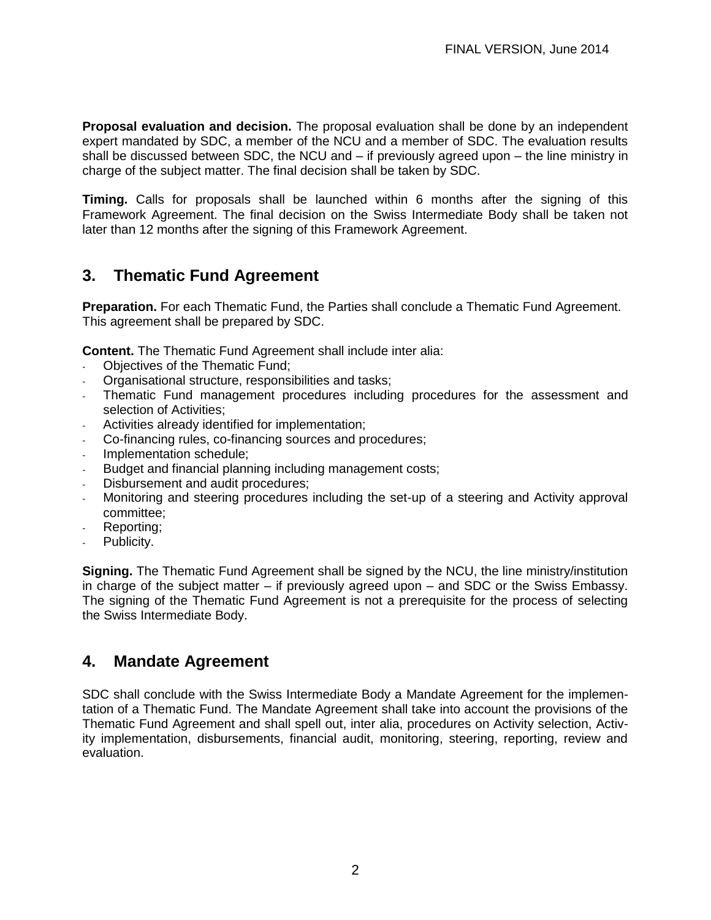**Proposal evaluation and decision.** The proposal evaluation shall be done by an independent expert mandated by SDC, a member of the NCU and a member of SDC. The evaluation results shall be discussed between SDC, the NCU and – if previously agreed upon – the line ministry in charge of the subject matter. The final decision shall be taken by SDC.

**Timing.** Calls for proposals shall be launched within 6 months after the signing of this Framework Agreement. The final decision on the Swiss Intermediate Body shall be taken not later than 12 months after the signing of this Framework Agreement.

## **3. Thematic Fund Agreement**

**Preparation.** For each Thematic Fund, the Parties shall conclude a Thematic Fund Agreement. This agreement shall be prepared by SDC.

**Content.** The Thematic Fund Agreement shall include inter alia:

- Objectives of the Thematic Fund;
- Organisational structure, responsibilities and tasks;
- Thematic Fund management procedures including procedures for the assessment and selection of Activities;
- Activities already identified for implementation;
- Co-financing rules, co-financing sources and procedures;
- Implementation schedule;
- Budget and financial planning including management costs;
- Disbursement and audit procedures;
- Monitoring and steering procedures including the set-up of a steering and Activity approval committee;
- Reporting;
- Publicity.

**Signing.** The Thematic Fund Agreement shall be signed by the NCU, the line ministry/institution in charge of the subject matter – if previously agreed upon – and SDC or the Swiss Embassy. The signing of the Thematic Fund Agreement is not a prerequisite for the process of selecting the Swiss Intermediate Body.

#### **4. Mandate Agreement**

SDC shall conclude with the Swiss Intermediate Body a Mandate Agreement for the implementation of a Thematic Fund. The Mandate Agreement shall take into account the provisions of the Thematic Fund Agreement and shall spell out, inter alia, procedures on Activity selection, Activity implementation, disbursements, financial audit, monitoring, steering, reporting, review and evaluation.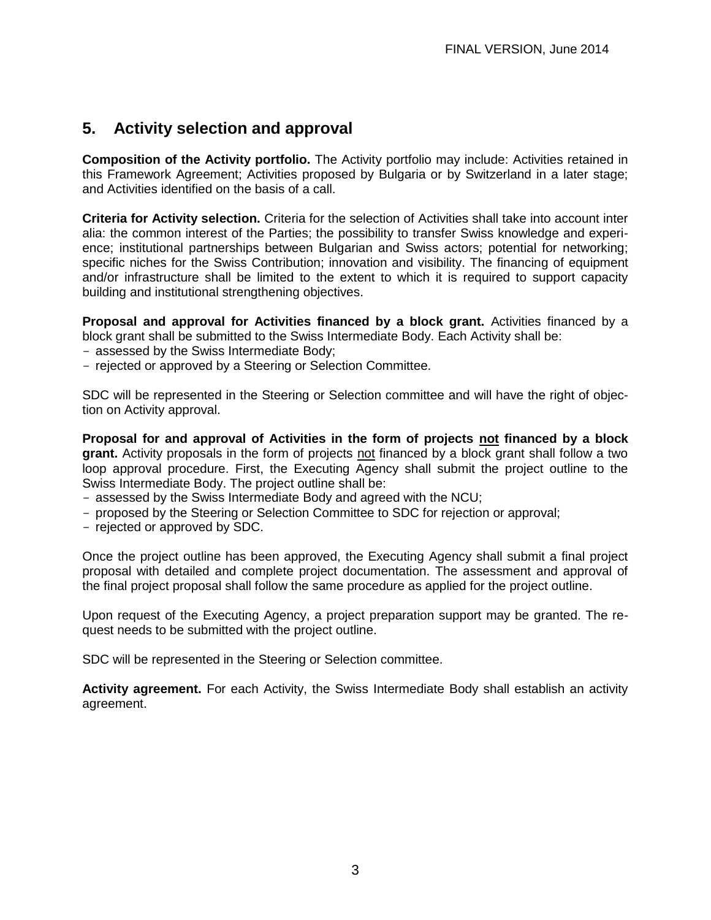## **5. Activity selection and approval**

**Composition of the Activity portfolio.** The Activity portfolio may include: Activities retained in this Framework Agreement; Activities proposed by Bulgaria or by Switzerland in a later stage; and Activities identified on the basis of a call.

**Criteria for Activity selection.** Criteria for the selection of Activities shall take into account inter alia: the common interest of the Parties; the possibility to transfer Swiss knowledge and experience; institutional partnerships between Bulgarian and Swiss actors; potential for networking; specific niches for the Swiss Contribution; innovation and visibility. The financing of equipment and/or infrastructure shall be limited to the extent to which it is required to support capacity building and institutional strengthening objectives.

**Proposal and approval for Activities financed by a block grant.** Activities financed by a block grant shall be submitted to the Swiss Intermediate Body. Each Activity shall be:

- assessed by the Swiss Intermediate Body;
- rejected or approved by a Steering or Selection Committee.

SDC will be represented in the Steering or Selection committee and will have the right of objection on Activity approval.

**Proposal for and approval of Activities in the form of projects not financed by a block grant.** Activity proposals in the form of projects not financed by a block grant shall follow a two loop approval procedure. First, the Executing Agency shall submit the project outline to the Swiss Intermediate Body. The project outline shall be:

- assessed by the Swiss Intermediate Body and agreed with the NCU;
- proposed by the Steering or Selection Committee to SDC for rejection or approval;
- rejected or approved by SDC.

Once the project outline has been approved, the Executing Agency shall submit a final project proposal with detailed and complete project documentation. The assessment and approval of the final project proposal shall follow the same procedure as applied for the project outline.

Upon request of the Executing Agency, a project preparation support may be granted. The request needs to be submitted with the project outline.

SDC will be represented in the Steering or Selection committee.

**Activity agreement.** For each Activity, the Swiss Intermediate Body shall establish an activity agreement.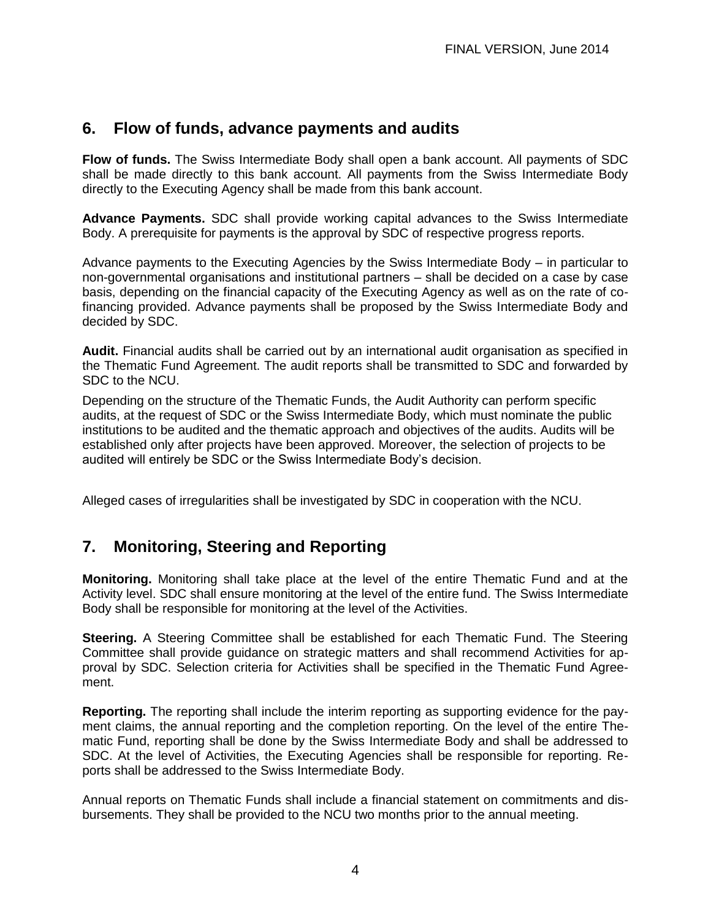## **6. Flow of funds, advance payments and audits**

**Flow of funds.** The Swiss Intermediate Body shall open a bank account. All payments of SDC shall be made directly to this bank account. All payments from the Swiss Intermediate Body directly to the Executing Agency shall be made from this bank account.

**Advance Payments.** SDC shall provide working capital advances to the Swiss Intermediate Body. A prerequisite for payments is the approval by SDC of respective progress reports.

Advance payments to the Executing Agencies by the Swiss Intermediate Body – in particular to non-governmental organisations and institutional partners – shall be decided on a case by case basis, depending on the financial capacity of the Executing Agency as well as on the rate of cofinancing provided. Advance payments shall be proposed by the Swiss Intermediate Body and decided by SDC.

**Audit.** Financial audits shall be carried out by an international audit organisation as specified in the Thematic Fund Agreement. The audit reports shall be transmitted to SDC and forwarded by SDC to the NCU.

Depending on the structure of the Thematic Funds, the Audit Authority can perform specific audits, at the request of SDC or the Swiss Intermediate Body, which must nominate the public institutions to be audited and the thematic approach and objectives of the audits. Audits will be established only after projects have been approved. Moreover, the selection of projects to be audited will entirely be SDC or the Swiss Intermediate Body's decision.

Alleged cases of irregularities shall be investigated by SDC in cooperation with the NCU.

# **7. Monitoring, Steering and Reporting**

**Monitoring.** Monitoring shall take place at the level of the entire Thematic Fund and at the Activity level. SDC shall ensure monitoring at the level of the entire fund. The Swiss Intermediate Body shall be responsible for monitoring at the level of the Activities.

**Steering.** A Steering Committee shall be established for each Thematic Fund. The Steering Committee shall provide guidance on strategic matters and shall recommend Activities for approval by SDC. Selection criteria for Activities shall be specified in the Thematic Fund Agreement.

**Reporting.** The reporting shall include the interim reporting as supporting evidence for the payment claims, the annual reporting and the completion reporting. On the level of the entire Thematic Fund, reporting shall be done by the Swiss Intermediate Body and shall be addressed to SDC. At the level of Activities, the Executing Agencies shall be responsible for reporting. Reports shall be addressed to the Swiss Intermediate Body.

Annual reports on Thematic Funds shall include a financial statement on commitments and disbursements. They shall be provided to the NCU two months prior to the annual meeting.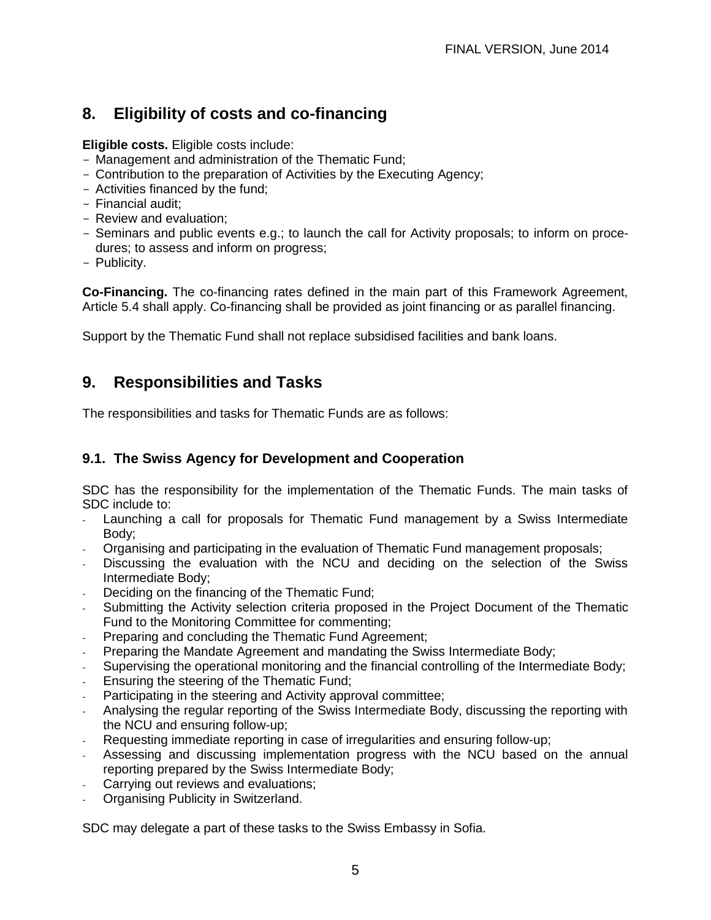# **8. Eligibility of costs and co-financing**

**Eligible costs.** Eligible costs include:

- Management and administration of the Thematic Fund;
- Contribution to the preparation of Activities by the Executing Agency;
- Activities financed by the fund;
- Financial audit;
- Review and evaluation;
- Seminars and public events e.g.; to launch the call for Activity proposals; to inform on procedures; to assess and inform on progress;
- Publicity.

**Co-Financing.** The co-financing rates defined in the main part of this Framework Agreement, Article 5.4 shall apply. Co-financing shall be provided as joint financing or as parallel financing.

Support by the Thematic Fund shall not replace subsidised facilities and bank loans.

## **9. Responsibilities and Tasks**

The responsibilities and tasks for Thematic Funds are as follows:

#### **9.1. The Swiss Agency for Development and Cooperation**

SDC has the responsibility for the implementation of the Thematic Funds. The main tasks of SDC include to:

- Launching a call for proposals for Thematic Fund management by a Swiss Intermediate Body;
- Organising and participating in the evaluation of Thematic Fund management proposals;
- Discussing the evaluation with the NCU and deciding on the selection of the Swiss Intermediate Body;
- Deciding on the financing of the Thematic Fund;
- Submitting the Activity selection criteria proposed in the Project Document of the Thematic Fund to the Monitoring Committee for commenting;
- Preparing and concluding the Thematic Fund Agreement;
- Preparing the Mandate Agreement and mandating the Swiss Intermediate Body;
- Supervising the operational monitoring and the financial controlling of the Intermediate Body;
- Ensuring the steering of the Thematic Fund;
- Participating in the steering and Activity approval committee;
- Analysing the regular reporting of the Swiss Intermediate Body, discussing the reporting with the NCU and ensuring follow-up;
- Requesting immediate reporting in case of irregularities and ensuring follow-up;
- Assessing and discussing implementation progress with the NCU based on the annual reporting prepared by the Swiss Intermediate Body;
- Carrying out reviews and evaluations;
- Organising Publicity in Switzerland.

SDC may delegate a part of these tasks to the Swiss Embassy in Sofia.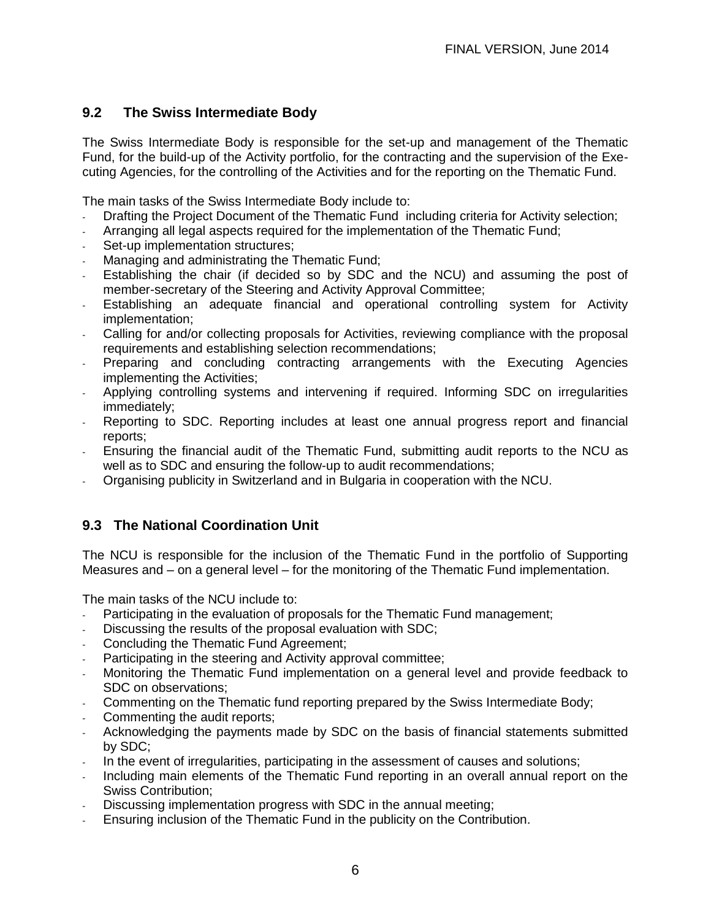#### **9.2 The Swiss Intermediate Body**

The Swiss Intermediate Body is responsible for the set-up and management of the Thematic Fund, for the build-up of the Activity portfolio, for the contracting and the supervision of the Executing Agencies, for the controlling of the Activities and for the reporting on the Thematic Fund.

The main tasks of the Swiss Intermediate Body include to:

- Drafting the Project Document of the Thematic Fund including criteria for Activity selection;
- Arranging all legal aspects required for the implementation of the Thematic Fund;
- Set-up implementation structures;
- Managing and administrating the Thematic Fund;
- Establishing the chair (if decided so by SDC and the NCU) and assuming the post of member-secretary of the Steering and Activity Approval Committee;
- Establishing an adequate financial and operational controlling system for Activity implementation;
- Calling for and/or collecting proposals for Activities, reviewing compliance with the proposal requirements and establishing selection recommendations;
- Preparing and concluding contracting arrangements with the Executing Agencies implementing the Activities;
- Applying controlling systems and intervening if required. Informing SDC on irregularities immediately;
- Reporting to SDC. Reporting includes at least one annual progress report and financial reports;
- Ensuring the financial audit of the Thematic Fund, submitting audit reports to the NCU as well as to SDC and ensuring the follow-up to audit recommendations;
- Organising publicity in Switzerland and in Bulgaria in cooperation with the NCU.

#### **9.3 The National Coordination Unit**

The NCU is responsible for the inclusion of the Thematic Fund in the portfolio of Supporting Measures and – on a general level – for the monitoring of the Thematic Fund implementation.

The main tasks of the NCU include to:

- Participating in the evaluation of proposals for the Thematic Fund management;
- Discussing the results of the proposal evaluation with SDC:
- Concluding the Thematic Fund Agreement:
- Participating in the steering and Activity approval committee;
- Monitoring the Thematic Fund implementation on a general level and provide feedback to SDC on observations;
- Commenting on the Thematic fund reporting prepared by the Swiss Intermediate Body;
- Commenting the audit reports:
- Acknowledging the payments made by SDC on the basis of financial statements submitted by SDC;
- In the event of irregularities, participating in the assessment of causes and solutions;
- Including main elements of the Thematic Fund reporting in an overall annual report on the Swiss Contribution;
- Discussing implementation progress with SDC in the annual meeting;
- Ensuring inclusion of the Thematic Fund in the publicity on the Contribution.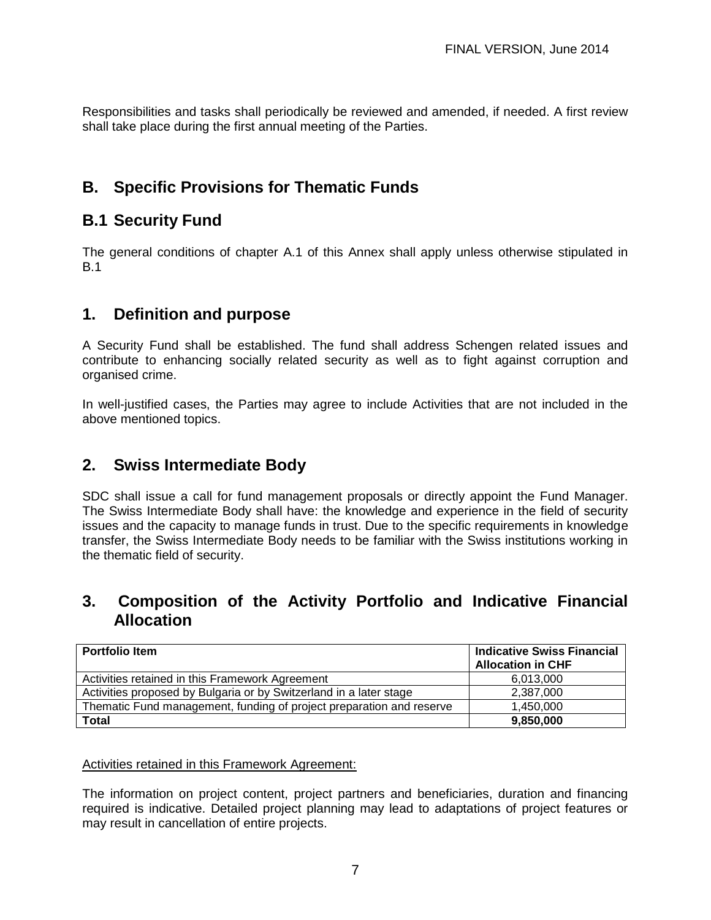Responsibilities and tasks shall periodically be reviewed and amended, if needed. A first review shall take place during the first annual meeting of the Parties.

# **B. Specific Provisions for Thematic Funds**

## **B.1 Security Fund**

The general conditions of chapter A.1 of this Annex shall apply unless otherwise stipulated in B.1

### **1. Definition and purpose**

A Security Fund shall be established. The fund shall address Schengen related issues and contribute to enhancing socially related security as well as to fight against corruption and organised crime.

In well-justified cases, the Parties may agree to include Activities that are not included in the above mentioned topics.

### **2. Swiss Intermediate Body**

SDC shall issue a call for fund management proposals or directly appoint the Fund Manager. The Swiss Intermediate Body shall have: the knowledge and experience in the field of security issues and the capacity to manage funds in trust. Due to the specific requirements in knowledge transfer, the Swiss Intermediate Body needs to be familiar with the Swiss institutions working in the thematic field of security.

#### **3. Composition of the Activity Portfolio and Indicative Financial Allocation**

| <b>Portfolio Item</b>                                                | <b>Indicative Swiss Financial</b><br><b>Allocation in CHF</b> |
|----------------------------------------------------------------------|---------------------------------------------------------------|
| Activities retained in this Framework Agreement                      | 6.013.000                                                     |
| Activities proposed by Bulgaria or by Switzerland in a later stage   | 2,387,000                                                     |
| Thematic Fund management, funding of project preparation and reserve | 1,450,000                                                     |
| Total                                                                | 9,850,000                                                     |

#### Activities retained in this Framework Agreement:

The information on project content, project partners and beneficiaries, duration and financing required is indicative. Detailed project planning may lead to adaptations of project features or may result in cancellation of entire projects.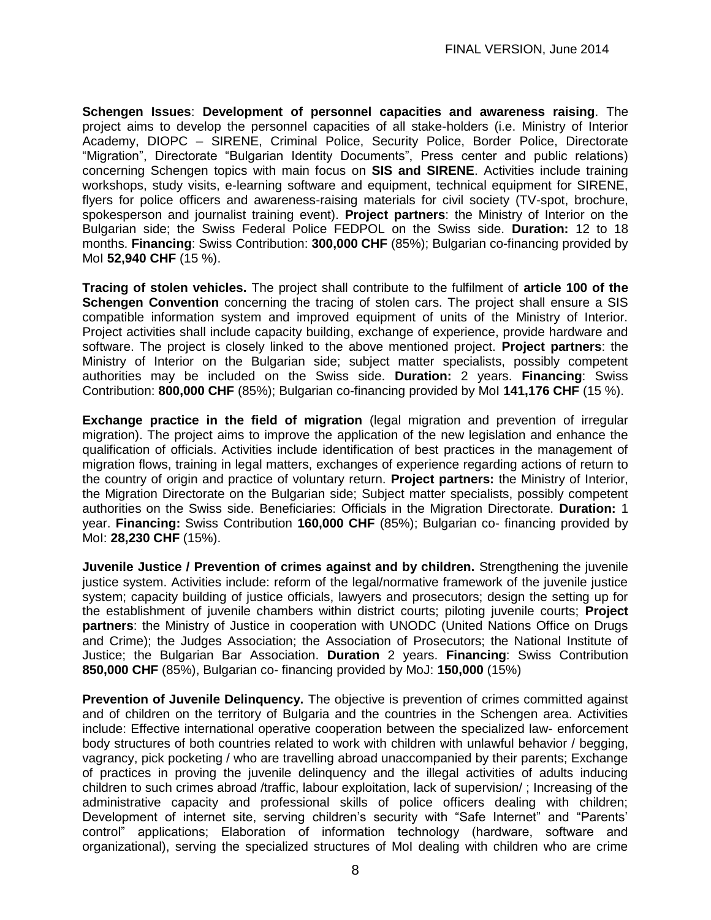**Schengen Issues**: **Development of personnel capacities and awareness raising**. The project aims to develop the personnel capacities of all stake-holders (i.e. Ministry of Interior Academy, DIOPC – SIRENE, Criminal Police, Security Police, Border Police, Directorate "Migration", Directorate "Bulgarian Identity Documents", Press center and public relations) concerning Schengen topics with main focus on **SIS and SIRENE**. Activities include training workshops, study visits, e-learning software and equipment, technical equipment for SIRENE, flyers for police officers and awareness-raising materials for civil society (TV-spot, brochure, spokesperson and journalist training event). **Project partners**: the Ministry of Interior on the Bulgarian side; the Swiss Federal Police FEDPOL on the Swiss side. **Duration:** 12 to 18 months. **Financing**: Swiss Contribution: **300,000 CHF** (85%); Bulgarian co-financing provided by MoI **52,940 CHF** (15 %).

**Tracing of stolen vehicles.** The project shall contribute to the fulfilment of **article 100 of the Schengen Convention** concerning the tracing of stolen cars. The project shall ensure a SIS compatible information system and improved equipment of units of the Ministry of Interior. Project activities shall include capacity building, exchange of experience, provide hardware and software. The project is closely linked to the above mentioned project. **Project partners**: the Ministry of Interior on the Bulgarian side; subject matter specialists, possibly competent authorities may be included on the Swiss side. **Duration:** 2 years. **Financing**: Swiss Contribution: **800,000 CHF** (85%); Bulgarian co-financing provided by MoI **141,176 CHF** (15 %).

**Exchange practice in the field of migration** (legal migration and prevention of irregular migration). The project aims to improve the application of the new legislation and enhance the qualification of officials. Activities include identification of best practices in the management of migration flows, training in legal matters, exchanges of experience regarding actions of return to the country of origin and practice of voluntary return. **Project partners:** the Ministry of Interior, the Migration Directorate on the Bulgarian side; Subject matter specialists, possibly competent authorities on the Swiss side. Beneficiaries: Officials in the Migration Directorate. **Duration:** 1 year. **Financing:** Swiss Contribution **160,000 CHF** (85%); Bulgarian co- financing provided by MoI: **28,230 CHF** (15%).

**Juvenile Justice / Prevention of crimes against and by children.** Strengthening the juvenile justice system. Activities include: reform of the legal/normative framework of the juvenile justice system; capacity building of justice officials, lawyers and prosecutors; design the setting up for the establishment of juvenile chambers within district courts; piloting juvenile courts; **Project partners**: the Ministry of Justice in cooperation with UNODC (United Nations Office on Drugs and Crime); the Judges Association; the Association of Prosecutors; the National Institute of Justice; the Bulgarian Bar Association. **Duration** 2 years. **Financing**: Swiss Contribution **850,000 CHF** (85%), Bulgarian co- financing provided by MoJ: **150,000** (15%)

**Prevention of Juvenile Delinquency.** The objective is prevention of crimes committed against and of children on the territory of Bulgaria and the countries in the Schengen area. Activities include: Effective international operative cooperation between the specialized law- enforcement body structures of both countries related to work with children with unlawful behavior / begging, vagrancy, pick pocketing / who are travelling abroad unaccompanied by their parents; Exchange of practices in proving the juvenile delinquency and the illegal activities of adults inducing children to such crimes abroad /traffic, labour exploitation, lack of supervision/ ; Increasing of the administrative capacity and professional skills of police officers dealing with children; Development of internet site, serving children's security with "Safe Internet" and "Parents' control" applications; Elaboration of information technology (hardware, software and organizational), serving the specialized structures of MoI dealing with children who are crime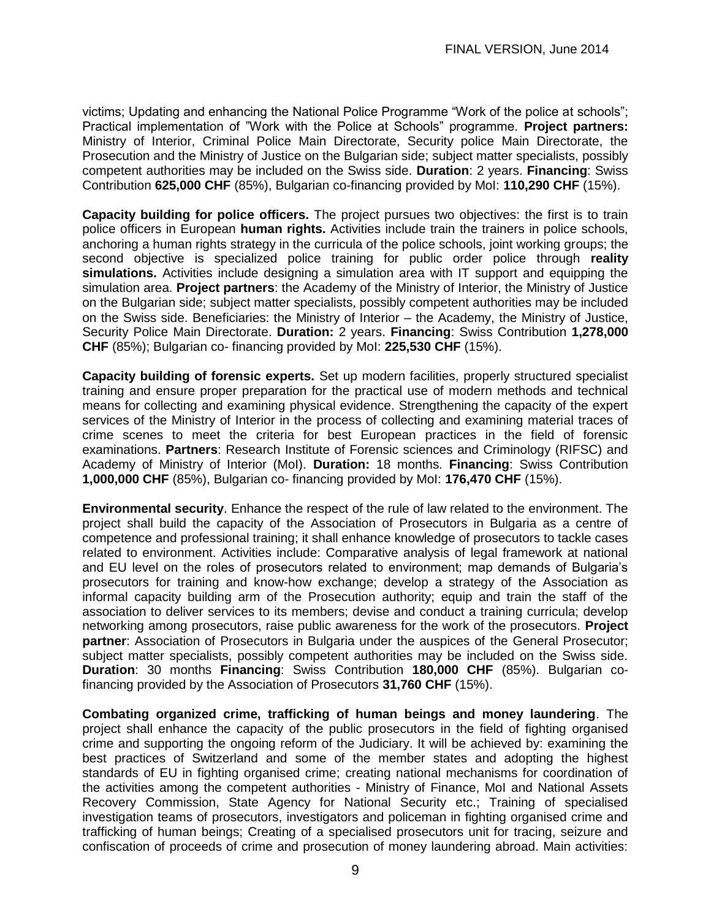victims; Updating and enhancing the National Police Programme "Work of the police at schools"; Practical implementation of "Work with the Police at Schools" programme. **Project partners:** Ministry of Interior, Criminal Police Main Directorate, Security police Main Directorate, the Prosecution and the Ministry of Justice on the Bulgarian side; subject matter specialists, possibly competent authorities may be included on the Swiss side. **Duration**: 2 years. **Financing**: Swiss Contribution **625,000 CHF** (85%), Bulgarian co-financing provided by MoI: **110,290 CHF** (15%).

**Capacity building for police officers.** The project pursues two objectives: the first is to train police officers in European **human rights.** Activities include train the trainers in police schools, anchoring a human rights strategy in the curricula of the police schools, joint working groups; the second objective is specialized police training for public order police through **reality simulations.** Activities include designing a simulation area with IT support and equipping the simulation area. **Project partners**: the Academy of the Ministry of Interior, the Ministry of Justice on the Bulgarian side; subject matter specialists, possibly competent authorities may be included on the Swiss side. Beneficiaries: the Ministry of Interior – the Academy, the Ministry of Justice, Security Police Main Directorate. **Duration:** 2 years. **Financing**: Swiss Contribution **1,278,000 CHF** (85%); Bulgarian co- financing provided by MoI: **225,530 CHF** (15%).

**Capacity building of forensic experts.** Set up modern facilities, properly structured specialist training and ensure proper preparation for the practical use of modern methods and technical means for collecting and examining physical evidence. Strengthening the capacity of the expert services of the Ministry of Interior in the process of collecting and examining material traces of crime scenes to meet the criteria for best European practices in the field of forensic examinations. **Partners**: Research Institute of Forensic sciences and Criminology (RIFSC) and Academy of Ministry of Interior (MoI). **Duration:** 18 months. **Financing**: Swiss Contribution **1,000,000 CHF** (85%), Bulgarian co- financing provided by MoI: **176,470 CHF** (15%).

**Environmental security**. Enhance the respect of the rule of law related to the environment. The project shall build the capacity of the Association of Prosecutors in Bulgaria as a centre of competence and professional training; it shall enhance knowledge of prosecutors to tackle cases related to environment. Activities include: Comparative analysis of legal framework at national and EU level on the roles of prosecutors related to environment; map demands of Bulgaria's prosecutors for training and know-how exchange; develop a strategy of the Association as informal capacity building arm of the Prosecution authority; equip and train the staff of the association to deliver services to its members; devise and conduct a training curricula; develop networking among prosecutors, raise public awareness for the work of the prosecutors. **Project partner**: Association of Prosecutors in Bulgaria under the auspices of the General Prosecutor; subject matter specialists, possibly competent authorities may be included on the Swiss side. **Duration**: 30 months **Financing**: Swiss Contribution **180,000 CHF** (85%). Bulgarian cofinancing provided by the Association of Prosecutors **31,760 CHF** (15%).

**Combating organized crime, trafficking of human beings and money laundering**. The project shall enhance the capacity of the public prosecutors in the field of fighting organised crime and supporting the ongoing reform of the Judiciary. It will be achieved by: examining the best practices of Switzerland and some of the member states and adopting the highest standards of EU in fighting organised crime; creating national mechanisms for coordination of the activities among the competent authorities - Ministry of Finance, MoI and National Assets Recovery Commission, State Agency for National Security etc.; Training of specialised investigation teams of prosecutors, investigators and policeman in fighting organised crime and trafficking of human beings; Creating of a specialised prosecutors unit for tracing, seizure and confiscation of proceeds of crime and prosecution of money laundering abroad. Main activities: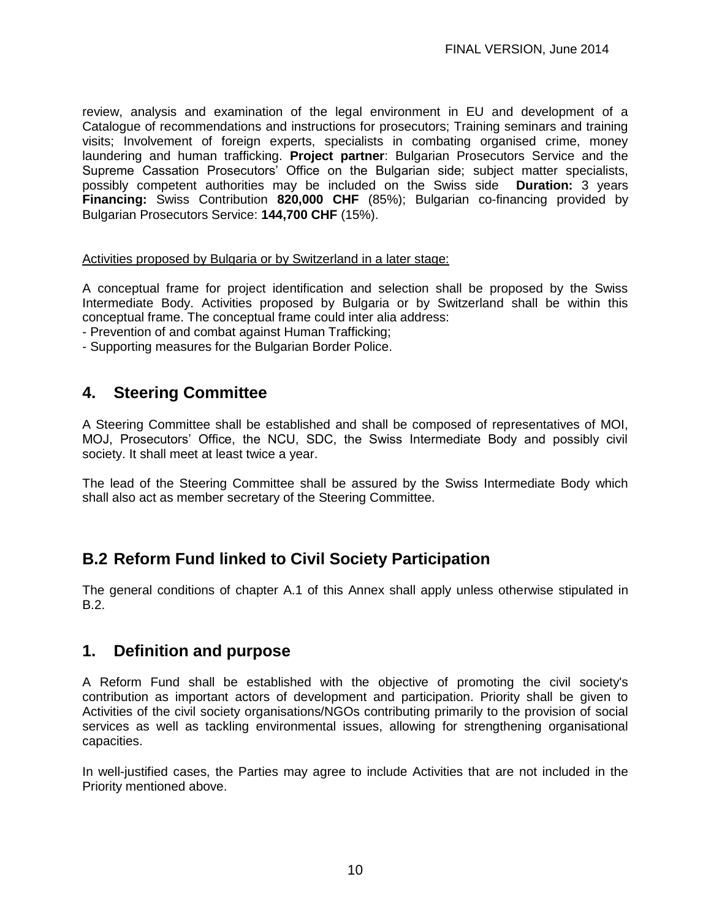review, analysis and examination of the legal environment in EU and development of a Catalogue of recommendations and instructions for prosecutors; Training seminars and training visits; Involvement of foreign experts, specialists in combating organised crime, money laundering and human trafficking. **Project partner**: Bulgarian Prosecutors Service and the Supreme Cassation Prosecutors' Office on the Bulgarian side; subject matter specialists, possibly competent authorities may be included on the Swiss side **Duration:** 3 years **Financing:** Swiss Contribution **820,000 CHF** (85%); Bulgarian co-financing provided by Bulgarian Prosecutors Service: **144,700 CHF** (15%).

#### Activities proposed by Bulgaria or by Switzerland in a later stage:

A conceptual frame for project identification and selection shall be proposed by the Swiss Intermediate Body. Activities proposed by Bulgaria or by Switzerland shall be within this conceptual frame. The conceptual frame could inter alia address:

- Prevention of and combat against Human Trafficking;

- Supporting measures for the Bulgarian Border Police.

#### **4. Steering Committee**

A Steering Committee shall be established and shall be composed of representatives of MOI, MOJ, Prosecutors' Office, the NCU, SDC, the Swiss Intermediate Body and possibly civil society. It shall meet at least twice a year.

The lead of the Steering Committee shall be assured by the Swiss Intermediate Body which shall also act as member secretary of the Steering Committee.

## **B.2 Reform Fund linked to Civil Society Participation**

The general conditions of chapter A.1 of this Annex shall apply unless otherwise stipulated in B.2.

#### **1. Definition and purpose**

A Reform Fund shall be established with the objective of promoting the civil society's contribution as important actors of development and participation. Priority shall be given to Activities of the civil society organisations/NGOs contributing primarily to the provision of social services as well as tackling environmental issues, allowing for strengthening organisational capacities.

In well-justified cases, the Parties may agree to include Activities that are not included in the Priority mentioned above.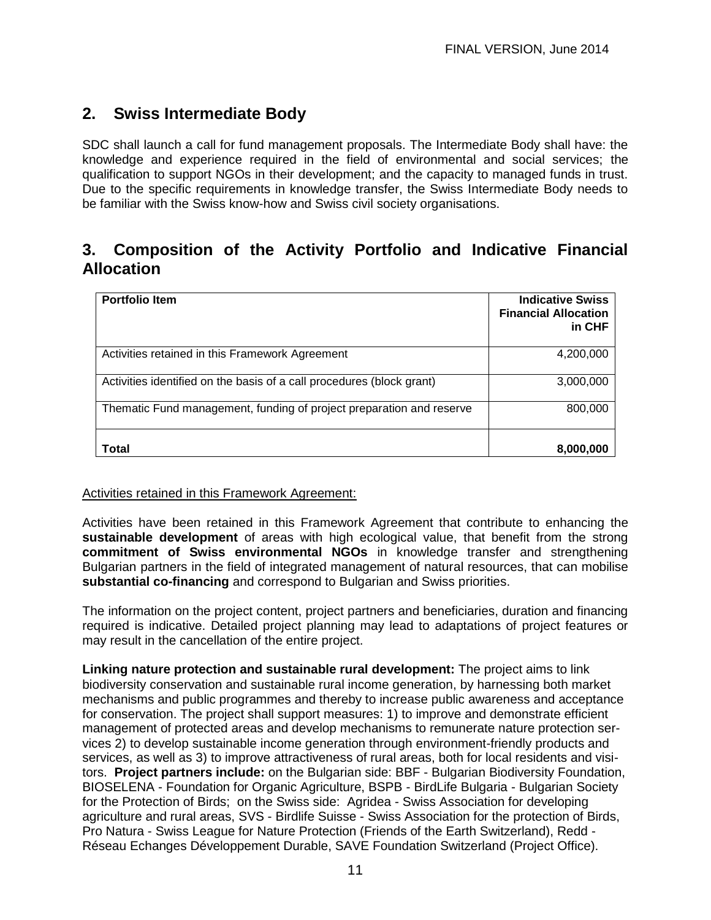## **2. Swiss Intermediate Body**

SDC shall launch a call for fund management proposals. The Intermediate Body shall have: the knowledge and experience required in the field of environmental and social services; the qualification to support NGOs in their development; and the capacity to managed funds in trust. Due to the specific requirements in knowledge transfer, the Swiss Intermediate Body needs to be familiar with the Swiss know-how and Swiss civil society organisations.

## **3. Composition of the Activity Portfolio and Indicative Financial Allocation**

| <b>Portfolio Item</b>                                                 | <b>Indicative Swiss</b><br><b>Financial Allocation</b><br>in CHF |
|-----------------------------------------------------------------------|------------------------------------------------------------------|
| Activities retained in this Framework Agreement                       | 4,200,000                                                        |
| Activities identified on the basis of a call procedures (block grant) | 3,000,000                                                        |
| Thematic Fund management, funding of project preparation and reserve  | 800,000                                                          |
| Total                                                                 | 8,000,000                                                        |

#### Activities retained in this Framework Agreement:

Activities have been retained in this Framework Agreement that contribute to enhancing the **sustainable development** of areas with high ecological value, that benefit from the strong **commitment of Swiss environmental NGOs** in knowledge transfer and strengthening Bulgarian partners in the field of integrated management of natural resources, that can mobilise **substantial co-financing** and correspond to Bulgarian and Swiss priorities.

The information on the project content, project partners and beneficiaries, duration and financing required is indicative. Detailed project planning may lead to adaptations of project features or may result in the cancellation of the entire project.

**Linking nature protection and sustainable rural development:** The project aims to link biodiversity conservation and sustainable rural income generation, by harnessing both market mechanisms and public programmes and thereby to increase public awareness and acceptance for conservation. The project shall support measures: 1) to improve and demonstrate efficient management of protected areas and develop mechanisms to remunerate nature protection services 2) to develop sustainable income generation through environment-friendly products and services, as well as 3) to improve attractiveness of rural areas, both for local residents and visitors. **Project partners include:** on the Bulgarian side: BBF - Bulgarian Biodiversity Foundation, BIOSELENA - Foundation for Organic Agriculture, BSPB - BirdLife Bulgaria - Bulgarian Society for the Protection of Birds; on the Swiss side: Agridea - Swiss Association for developing agriculture and rural areas, SVS - Birdlife Suisse - Swiss Association for the protection of Birds, Pro Natura - Swiss League for Nature Protection (Friends of the Earth Switzerland), Redd - Réseau Echanges Développement Durable, SAVE Foundation Switzerland (Project Office).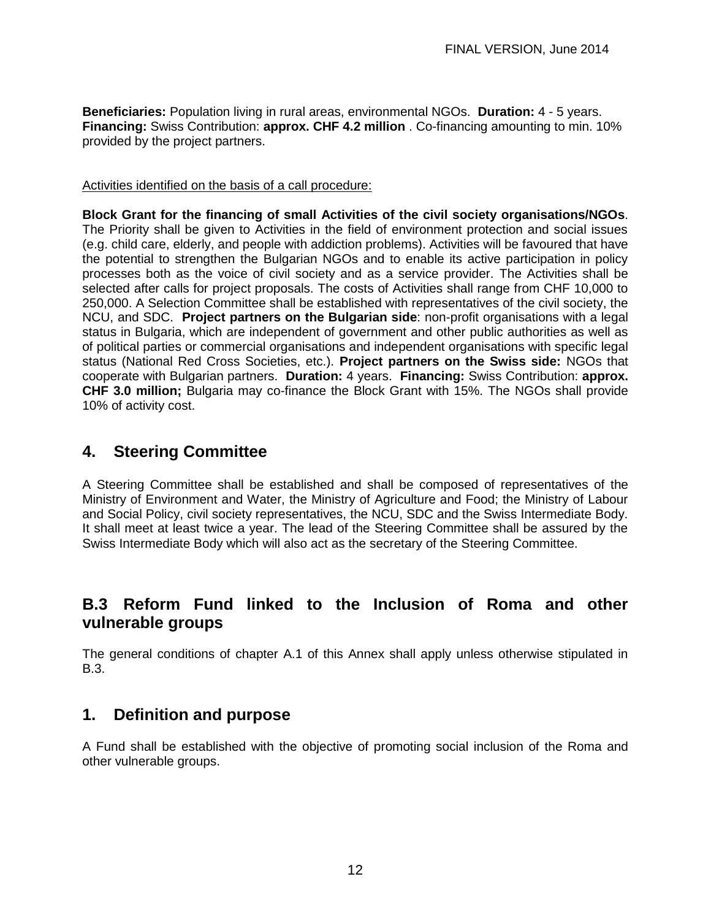**Beneficiaries:** Population living in rural areas, environmental NGOs. **Duration:** 4 - 5 years. **Financing:** Swiss Contribution: **approx. CHF 4.2 million** . Co-financing amounting to min. 10% provided by the project partners.

#### Activities identified on the basis of a call procedure:

**Block Grant for the financing of small Activities of the civil society organisations/NGOs**. The Priority shall be given to Activities in the field of environment protection and social issues (e.g. child care, elderly, and people with addiction problems). Activities will be favoured that have the potential to strengthen the Bulgarian NGOs and to enable its active participation in policy processes both as the voice of civil society and as a service provider. The Activities shall be selected after calls for project proposals. The costs of Activities shall range from CHF 10,000 to 250,000. A Selection Committee shall be established with representatives of the civil society, the NCU, and SDC. **Project partners on the Bulgarian side**: non-profit organisations with a legal status in Bulgaria, which are independent of government and other public authorities as well as of political parties or commercial organisations and independent organisations with specific legal status (National Red Cross Societies, etc.). **Project partners on the Swiss side:** NGOs that cooperate with Bulgarian partners. **Duration:** 4 years. **Financing:** Swiss Contribution: **approx. CHF 3.0 million;** Bulgaria may co-finance the Block Grant with 15%. The NGOs shall provide 10% of activity cost.

#### **4. Steering Committee**

A Steering Committee shall be established and shall be composed of representatives of the Ministry of Environment and Water, the Ministry of Agriculture and Food; the Ministry of Labour and Social Policy, civil society representatives, the NCU, SDC and the Swiss Intermediate Body. It shall meet at least twice a year. The lead of the Steering Committee shall be assured by the Swiss Intermediate Body which will also act as the secretary of the Steering Committee.

### **B.3 Reform Fund linked to the Inclusion of Roma and other vulnerable groups**

The general conditions of chapter A.1 of this Annex shall apply unless otherwise stipulated in B.3.

### **1. Definition and purpose**

A Fund shall be established with the objective of promoting social inclusion of the Roma and other vulnerable groups.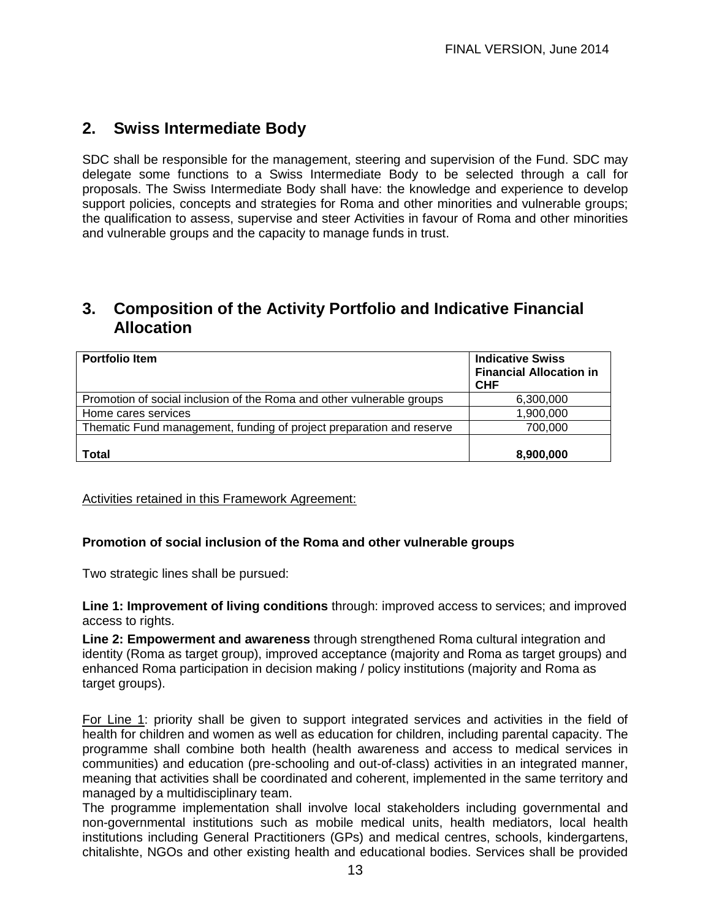## **2. Swiss Intermediate Body**

SDC shall be responsible for the management, steering and supervision of the Fund. SDC may delegate some functions to a Swiss Intermediate Body to be selected through a call for proposals. The Swiss Intermediate Body shall have: the knowledge and experience to develop support policies, concepts and strategies for Roma and other minorities and vulnerable groups; the qualification to assess, supervise and steer Activities in favour of Roma and other minorities and vulnerable groups and the capacity to manage funds in trust.

## **3. Composition of the Activity Portfolio and Indicative Financial Allocation**

| <b>Portfolio Item</b>                                                 | <b>Indicative Swiss</b><br><b>Financial Allocation in</b><br><b>CHF</b> |
|-----------------------------------------------------------------------|-------------------------------------------------------------------------|
| Promotion of social inclusion of the Roma and other vulnerable groups | 6,300,000                                                               |
| Home cares services                                                   | 1,900,000                                                               |
| Thematic Fund management, funding of project preparation and reserve  | 700,000                                                                 |
| <b>Total</b>                                                          | 8,900,000                                                               |

Activities retained in this Framework Agreement:

#### **Promotion of social inclusion of the Roma and other vulnerable groups**

Two strategic lines shall be pursued:

**Line 1: Improvement of living conditions** through: improved access to services; and improved access to rights.

**Line 2: Empowerment and awareness** through strengthened Roma cultural integration and identity (Roma as target group), improved acceptance (majority and Roma as target groups) and enhanced Roma participation in decision making / policy institutions (majority and Roma as target groups).

For Line 1: priority shall be given to support integrated services and activities in the field of health for children and women as well as education for children, including parental capacity. The programme shall combine both health (health awareness and access to medical services in communities) and education (pre-schooling and out-of-class) activities in an integrated manner, meaning that activities shall be coordinated and coherent, implemented in the same territory and managed by a multidisciplinary team.

The programme implementation shall involve local stakeholders including governmental and non-governmental institutions such as mobile medical units, health mediators, local health institutions including General Practitioners (GPs) and medical centres, schools, kindergartens, chitalishte, NGOs and other existing health and educational bodies. Services shall be provided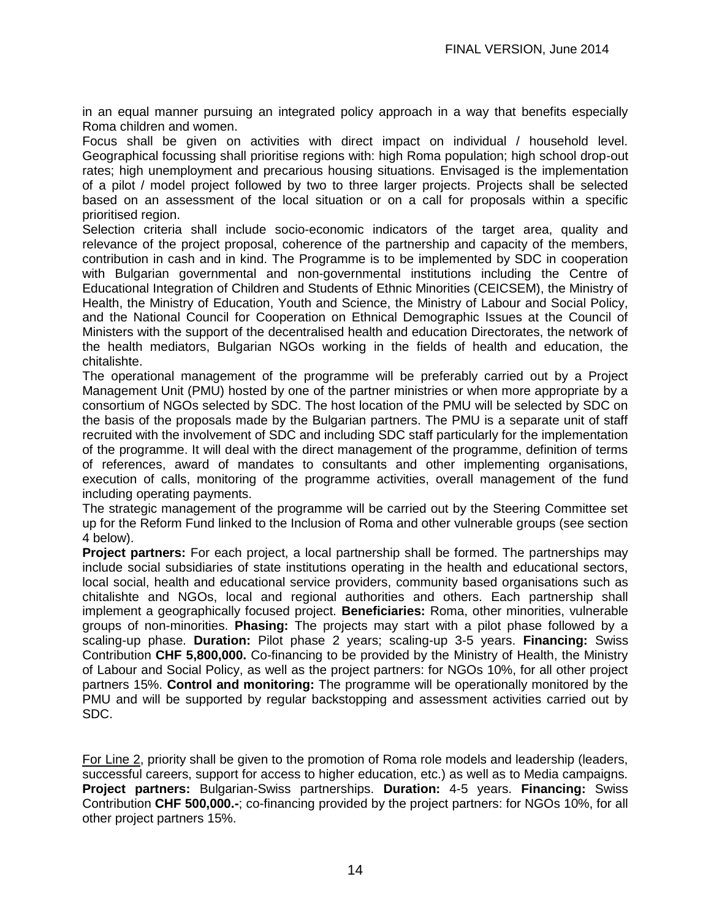in an equal manner pursuing an integrated policy approach in a way that benefits especially Roma children and women.

Focus shall be given on activities with direct impact on individual / household level. Geographical focussing shall prioritise regions with: high Roma population; high school drop-out rates; high unemployment and precarious housing situations. Envisaged is the implementation of a pilot / model project followed by two to three larger projects. Projects shall be selected based on an assessment of the local situation or on a call for proposals within a specific prioritised region.

Selection criteria shall include socio-economic indicators of the target area, quality and relevance of the project proposal, coherence of the partnership and capacity of the members, contribution in cash and in kind. The Programme is to be implemented by SDC in cooperation with Bulgarian governmental and non-governmental institutions including the Centre of Educational Integration of Children and Students of Ethnic Minorities (CEICSEM), the Ministry of Health, the Ministry of Education, Youth and Science, the Ministry of Labour and Social Policy, and the National Council for Cooperation on Ethnical Demographic Issues at the Council of Ministers with the support of the decentralised health and education Directorates, the network of the health mediators, Bulgarian NGOs working in the fields of health and education, the chitalishte.

The operational management of the programme will be preferably carried out by a Project Management Unit (PMU) hosted by one of the partner ministries or when more appropriate by a consortium of NGOs selected by SDC. The host location of the PMU will be selected by SDC on the basis of the proposals made by the Bulgarian partners. The PMU is a separate unit of staff recruited with the involvement of SDC and including SDC staff particularly for the implementation of the programme. It will deal with the direct management of the programme, definition of terms of references, award of mandates to consultants and other implementing organisations, execution of calls, monitoring of the programme activities, overall management of the fund including operating payments.

The strategic management of the programme will be carried out by the Steering Committee set up for the Reform Fund linked to the Inclusion of Roma and other vulnerable groups (see section 4 below).

**Project partners:** For each project, a local partnership shall be formed. The partnerships may include social subsidiaries of state institutions operating in the health and educational sectors, local social, health and educational service providers, community based organisations such as chitalishte and NGOs, local and regional authorities and others. Each partnership shall implement a geographically focused project. **Beneficiaries:** Roma, other minorities, vulnerable groups of non-minorities. **Phasing:** The projects may start with a pilot phase followed by a scaling-up phase. **Duration:** Pilot phase 2 years; scaling-up 3-5 years. **Financing:** Swiss Contribution **CHF 5,800,000.** Co-financing to be provided by the Ministry of Health, the Ministry of Labour and Social Policy, as well as the project partners: for NGOs 10%, for all other project partners 15%. **Control and monitoring:** The programme will be operationally monitored by the PMU and will be supported by regular backstopping and assessment activities carried out by SDC.

For Line 2, priority shall be given to the promotion of Roma role models and leadership (leaders, successful careers, support for access to higher education, etc.) as well as to Media campaigns. **Project partners:** Bulgarian-Swiss partnerships. **Duration:** 4-5 years. **Financing:** Swiss Contribution **CHF 500,000.-**; co-financing provided by the project partners: for NGOs 10%, for all other project partners 15%.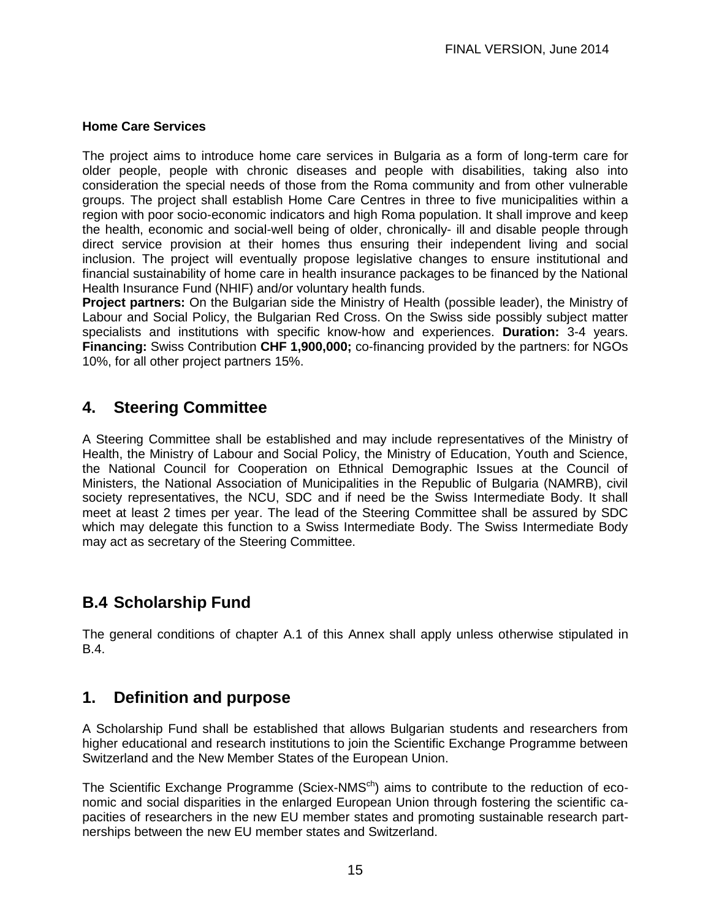#### **Home Care Services**

The project aims to introduce home care services in Bulgaria as a form of long-term care for older people, people with chronic diseases and people with disabilities, taking also into consideration the special needs of those from the Roma community and from other vulnerable groups. The project shall establish Home Care Centres in three to five municipalities within a region with poor socio-economic indicators and high Roma population. It shall improve and keep the health, economic and social-well being of older, chronically- ill and disable people through direct service provision at their homes thus ensuring their independent living and social inclusion. The project will eventually propose legislative changes to ensure institutional and financial sustainability of home care in health insurance packages to be financed by the National Health Insurance Fund (NHIF) and/or voluntary health funds.

**Project partners:** On the Bulgarian side the Ministry of Health (possible leader), the Ministry of Labour and Social Policy, the Bulgarian Red Cross. On the Swiss side possibly subject matter specialists and institutions with specific know-how and experiences. **Duration:** 3-4 years. **Financing:** Swiss Contribution **CHF 1,900,000;** co-financing provided by the partners: for NGOs 10%, for all other project partners 15%.

### **4. Steering Committee**

A Steering Committee shall be established and may include representatives of the Ministry of Health, the Ministry of Labour and Social Policy, the Ministry of Education, Youth and Science, the National Council for Cooperation on Ethnical Demographic Issues at the Council of Ministers, the National Association of Municipalities in the Republic of Bulgaria (NAMRB), civil society representatives, the NCU, SDC and if need be the Swiss Intermediate Body. It shall meet at least 2 times per year. The lead of the Steering Committee shall be assured by SDC which may delegate this function to a Swiss Intermediate Body. The Swiss Intermediate Body may act as secretary of the Steering Committee.

## **B.4 Scholarship Fund**

The general conditions of chapter A.1 of this Annex shall apply unless otherwise stipulated in B.4.

### **1. Definition and purpose**

A Scholarship Fund shall be established that allows Bulgarian students and researchers from higher educational and research institutions to join the Scientific Exchange Programme between Switzerland and the New Member States of the European Union.

The Scientific Exchange Programme (Sciex-NMS<sup>ch</sup>) aims to contribute to the reduction of economic and social disparities in the enlarged European Union through fostering the scientific capacities of researchers in the new EU member states and promoting sustainable research partnerships between the new EU member states and Switzerland.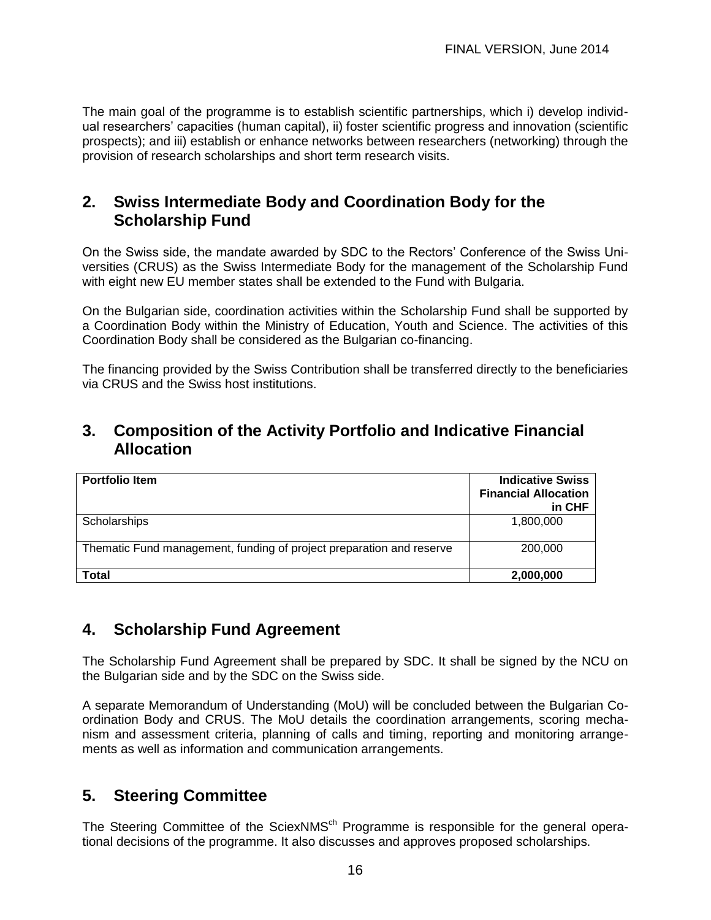The main goal of the programme is to establish scientific partnerships, which i) develop individual researchers' capacities (human capital), ii) foster scientific progress and innovation (scientific prospects); and iii) establish or enhance networks between researchers (networking) through the provision of research scholarships and short term research visits.

## **2. Swiss Intermediate Body and Coordination Body for the Scholarship Fund**

On the Swiss side, the mandate awarded by SDC to the Rectors' Conference of the Swiss Universities (CRUS) as the Swiss Intermediate Body for the management of the Scholarship Fund with eight new EU member states shall be extended to the Fund with Bulgaria.

On the Bulgarian side, coordination activities within the Scholarship Fund shall be supported by a Coordination Body within the Ministry of Education, Youth and Science. The activities of this Coordination Body shall be considered as the Bulgarian co-financing.

The financing provided by the Swiss Contribution shall be transferred directly to the beneficiaries via CRUS and the Swiss host institutions.

#### **3. Composition of the Activity Portfolio and Indicative Financial Allocation**

| <b>Portfolio Item</b>                                                | <b>Indicative Swiss</b><br><b>Financial Allocation</b><br>in CHF |
|----------------------------------------------------------------------|------------------------------------------------------------------|
| Scholarships                                                         | 1,800,000                                                        |
| Thematic Fund management, funding of project preparation and reserve | 200,000                                                          |
| Total                                                                | 2,000,000                                                        |

### **4. Scholarship Fund Agreement**

The Scholarship Fund Agreement shall be prepared by SDC. It shall be signed by the NCU on the Bulgarian side and by the SDC on the Swiss side.

A separate Memorandum of Understanding (MoU) will be concluded between the Bulgarian Coordination Body and CRUS. The MoU details the coordination arrangements, scoring mechanism and assessment criteria, planning of calls and timing, reporting and monitoring arrangements as well as information and communication arrangements.

## **5. Steering Committee**

The Steering Committee of the SciexNMS<sup>ch</sup> Programme is responsible for the general operational decisions of the programme. It also discusses and approves proposed scholarships.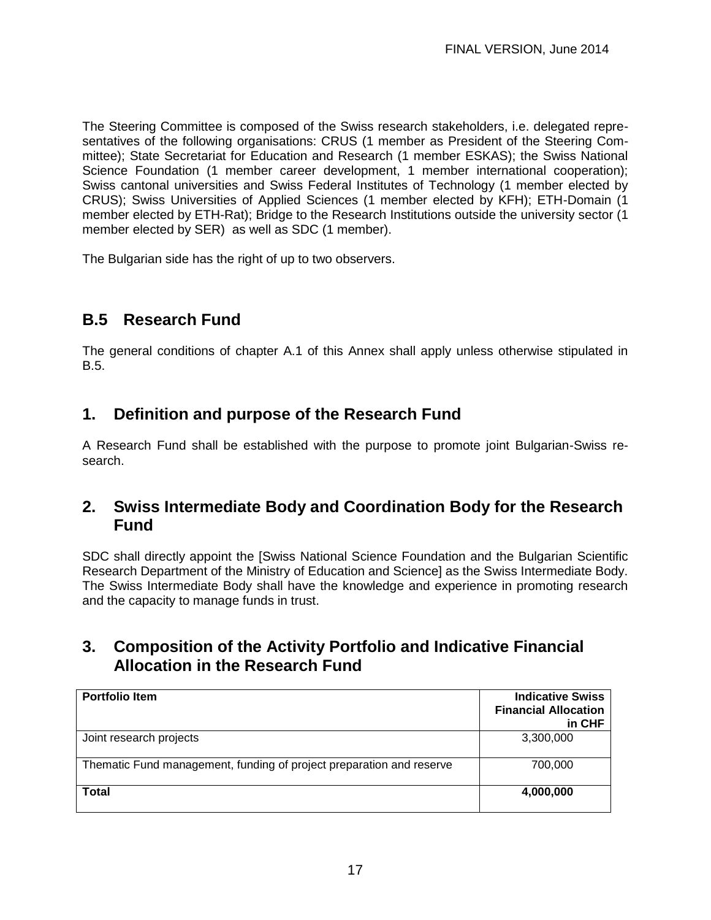The Steering Committee is composed of the Swiss research stakeholders, i.e. delegated representatives of the following organisations: CRUS (1 member as President of the Steering Committee); State Secretariat for Education and Research (1 member ESKAS); the Swiss National Science Foundation (1 member career development, 1 member international cooperation); Swiss cantonal universities and Swiss Federal Institutes of Technology (1 member elected by CRUS); Swiss Universities of Applied Sciences (1 member elected by KFH); ETH-Domain (1 member elected by ETH-Rat); Bridge to the Research Institutions outside the university sector (1 member elected by SER) as well as SDC (1 member).

The Bulgarian side has the right of up to two observers.

# **B.5 Research Fund**

The general conditions of chapter A.1 of this Annex shall apply unless otherwise stipulated in B.5.

## **1. Definition and purpose of the Research Fund**

A Research Fund shall be established with the purpose to promote joint Bulgarian-Swiss research.

### **2. Swiss Intermediate Body and Coordination Body for the Research Fund**

SDC shall directly appoint the [Swiss National Science Foundation and the Bulgarian Scientific Research Department of the Ministry of Education and Science] as the Swiss Intermediate Body. The Swiss Intermediate Body shall have the knowledge and experience in promoting research and the capacity to manage funds in trust.

## **3. Composition of the Activity Portfolio and Indicative Financial Allocation in the Research Fund**

| <b>Portfolio Item</b>                                                | <b>Indicative Swiss</b><br><b>Financial Allocation</b><br>in CHF |
|----------------------------------------------------------------------|------------------------------------------------------------------|
| Joint research projects                                              | 3,300,000                                                        |
| Thematic Fund management, funding of project preparation and reserve | 700,000                                                          |
| Total                                                                | 4,000,000                                                        |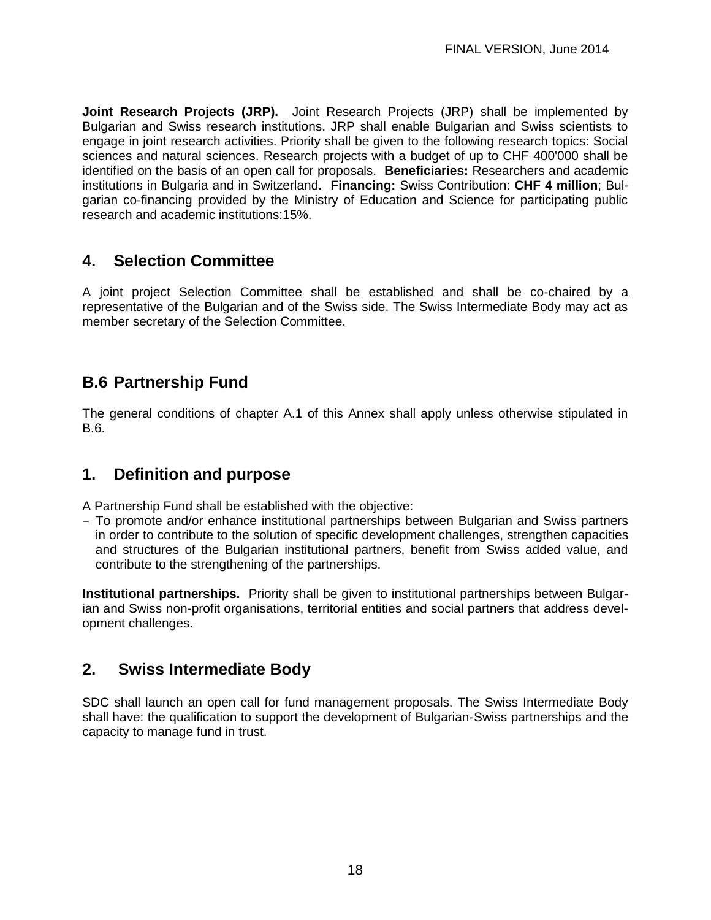**Joint Research Projects (JRP).** Joint Research Projects (JRP) shall be implemented by Bulgarian and Swiss research institutions. JRP shall enable Bulgarian and Swiss scientists to engage in joint research activities. Priority shall be given to the following research topics: Social sciences and natural sciences. Research projects with a budget of up to CHF 400'000 shall be identified on the basis of an open call for proposals. **Beneficiaries:** Researchers and academic institutions in Bulgaria and in Switzerland. **Financing:** Swiss Contribution: **CHF 4 million**; Bulgarian co-financing provided by the Ministry of Education and Science for participating public research and academic institutions:15%.

## **4. Selection Committee**

A joint project Selection Committee shall be established and shall be co-chaired by a representative of the Bulgarian and of the Swiss side. The Swiss Intermediate Body may act as member secretary of the Selection Committee.

## **B.6 Partnership Fund**

The general conditions of chapter A.1 of this Annex shall apply unless otherwise stipulated in B.6.

## **1. Definition and purpose**

A Partnership Fund shall be established with the objective:

- To promote and/or enhance institutional partnerships between Bulgarian and Swiss partners in order to contribute to the solution of specific development challenges, strengthen capacities and structures of the Bulgarian institutional partners, benefit from Swiss added value, and contribute to the strengthening of the partnerships.

**Institutional partnerships.** Priority shall be given to institutional partnerships between Bulgarian and Swiss non-profit organisations, territorial entities and social partners that address development challenges.

## **2. Swiss Intermediate Body**

SDC shall launch an open call for fund management proposals. The Swiss Intermediate Body shall have: the qualification to support the development of Bulgarian-Swiss partnerships and the capacity to manage fund in trust.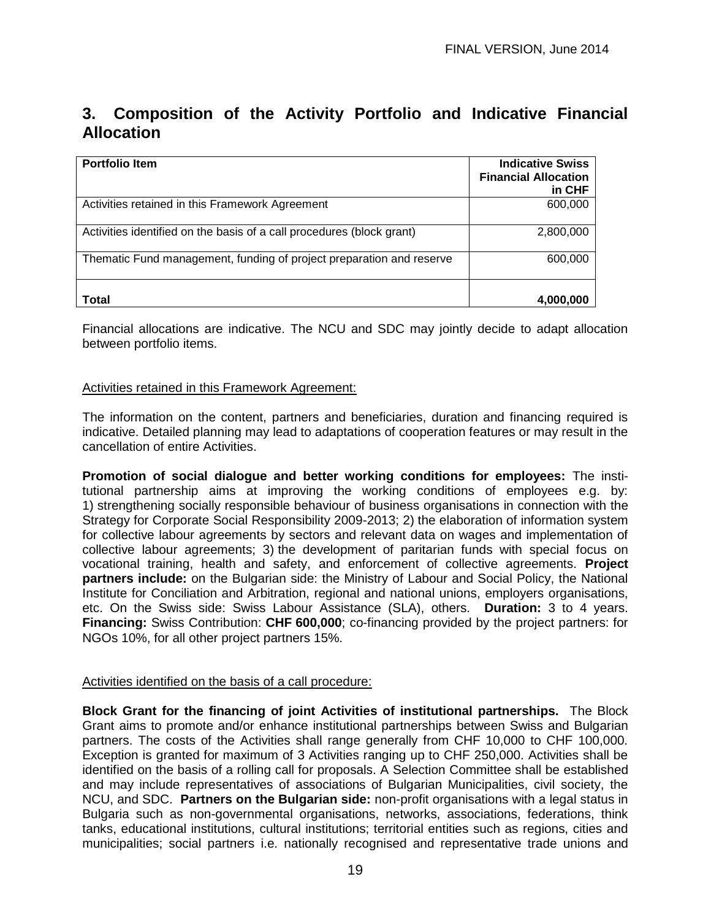# **3. Composition of the Activity Portfolio and Indicative Financial Allocation**

| <b>Portfolio Item</b>                                                 | <b>Indicative Swiss</b><br><b>Financial Allocation</b><br>in CHF |
|-----------------------------------------------------------------------|------------------------------------------------------------------|
| Activities retained in this Framework Agreement                       | 600,000                                                          |
| Activities identified on the basis of a call procedures (block grant) | 2,800,000                                                        |
| Thematic Fund management, funding of project preparation and reserve  | 600,000                                                          |
| Total                                                                 | 4,000,000                                                        |

Financial allocations are indicative. The NCU and SDC may jointly decide to adapt allocation between portfolio items.

#### Activities retained in this Framework Agreement:

The information on the content, partners and beneficiaries, duration and financing required is indicative. Detailed planning may lead to adaptations of cooperation features or may result in the cancellation of entire Activities.

**Promotion of social dialogue and better working conditions for employees:** The institutional partnership aims at improving the working conditions of employees e.g. by: 1) strengthening socially responsible behaviour of business organisations in connection with the Strategy for Corporate Social Responsibility 2009-2013; 2) the elaboration of information system for collective labour agreements by sectors and relevant data on wages and implementation of collective labour agreements; 3) the development of paritarian funds with special focus on vocational training, health and safety, and enforcement of collective agreements. **Project partners include:** on the Bulgarian side: the Ministry of Labour and Social Policy, the National Institute for Conciliation and Arbitration, regional and national unions, employers organisations, etc. On the Swiss side: Swiss Labour Assistance (SLA), others. **Duration:** 3 to 4 years. **Financing:** Swiss Contribution: **CHF 600,000**; co-financing provided by the project partners: for NGOs 10%, for all other project partners 15%.

#### Activities identified on the basis of a call procedure:

**Block Grant for the financing of joint Activities of institutional partnerships.** The Block Grant aims to promote and/or enhance institutional partnerships between Swiss and Bulgarian partners. The costs of the Activities shall range generally from CHF 10,000 to CHF 100,000. Exception is granted for maximum of 3 Activities ranging up to CHF 250,000. Activities shall be identified on the basis of a rolling call for proposals. A Selection Committee shall be established and may include representatives of associations of Bulgarian Municipalities, civil society, the NCU, and SDC. **Partners on the Bulgarian side:** non-profit organisations with a legal status in Bulgaria such as non-governmental organisations, networks, associations, federations, think tanks, educational institutions, cultural institutions; territorial entities such as regions, cities and municipalities; social partners i.e. nationally recognised and representative trade unions and